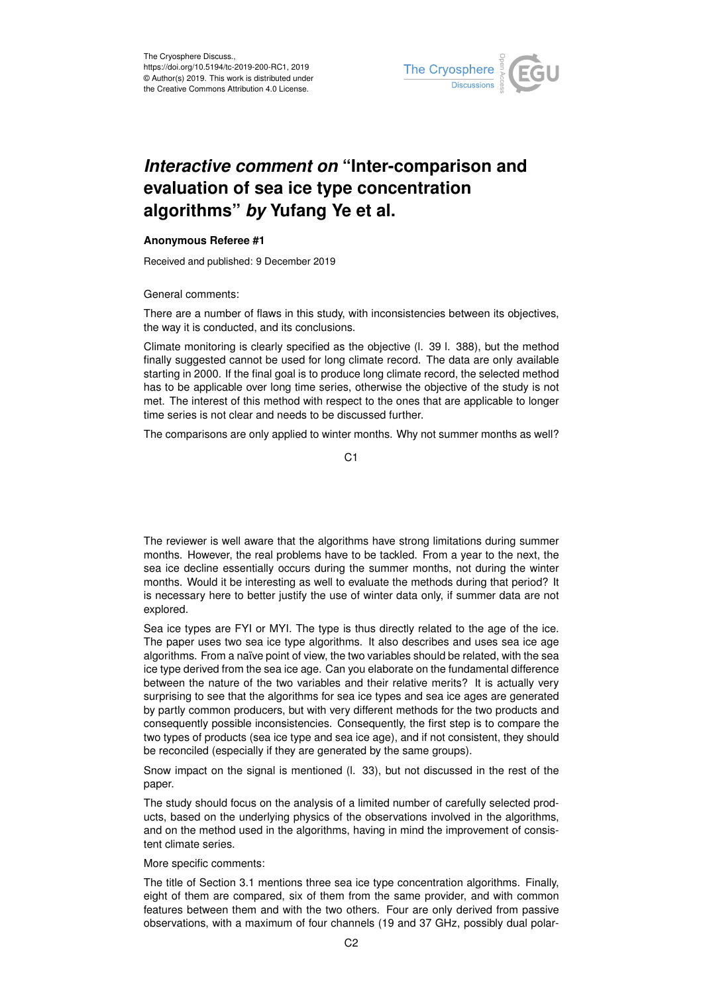

## *Interactive comment on* **"Inter-comparison and evaluation of sea ice type concentration algorithms"** *by* **Yufang Ye et al.**

## **Anonymous Referee #1**

Received and published: 9 December 2019

General comments:

There are a number of flaws in this study, with inconsistencies between its objectives, the way it is conducted, and its conclusions.

Climate monitoring is clearly specified as the objective (l. 39 l. 388), but the method finally suggested cannot be used for long climate record. The data are only available starting in 2000. If the final goal is to produce long climate record, the selected method has to be applicable over long time series, otherwise the objective of the study is not met. The interest of this method with respect to the ones that are applicable to longer time series is not clear and needs to be discussed further.

The comparisons are only applied to winter months. Why not summer months as well?

C<sub>1</sub>

The reviewer is well aware that the algorithms have strong limitations during summer months. However, the real problems have to be tackled. From a year to the next, the sea ice decline essentially occurs during the summer months, not during the winter months. Would it be interesting as well to evaluate the methods during that period? It is necessary here to better justify the use of winter data only, if summer data are not explored.

Sea ice types are FYI or MYI. The type is thus directly related to the age of the ice. The paper uses two sea ice type algorithms. It also describes and uses sea ice age algorithms. From a naïve point of view, the two variables should be related, with the sea ice type derived from the sea ice age. Can you elaborate on the fundamental difference between the nature of the two variables and their relative merits? It is actually very surprising to see that the algorithms for sea ice types and sea ice ages are generated by partly common producers, but with very different methods for the two products and consequently possible inconsistencies. Consequently, the first step is to compare the two types of products (sea ice type and sea ice age), and if not consistent, they should be reconciled (especially if they are generated by the same groups).

Snow impact on the signal is mentioned (l. 33), but not discussed in the rest of the paper.

The study should focus on the analysis of a limited number of carefully selected products, based on the underlying physics of the observations involved in the algorithms, and on the method used in the algorithms, having in mind the improvement of consistent climate series.

More specific comments:

The title of Section 3.1 mentions three sea ice type concentration algorithms. Finally, eight of them are compared, six of them from the same provider, and with common features between them and with the two others. Four are only derived from passive observations, with a maximum of four channels (19 and 37 GHz, possibly dual polar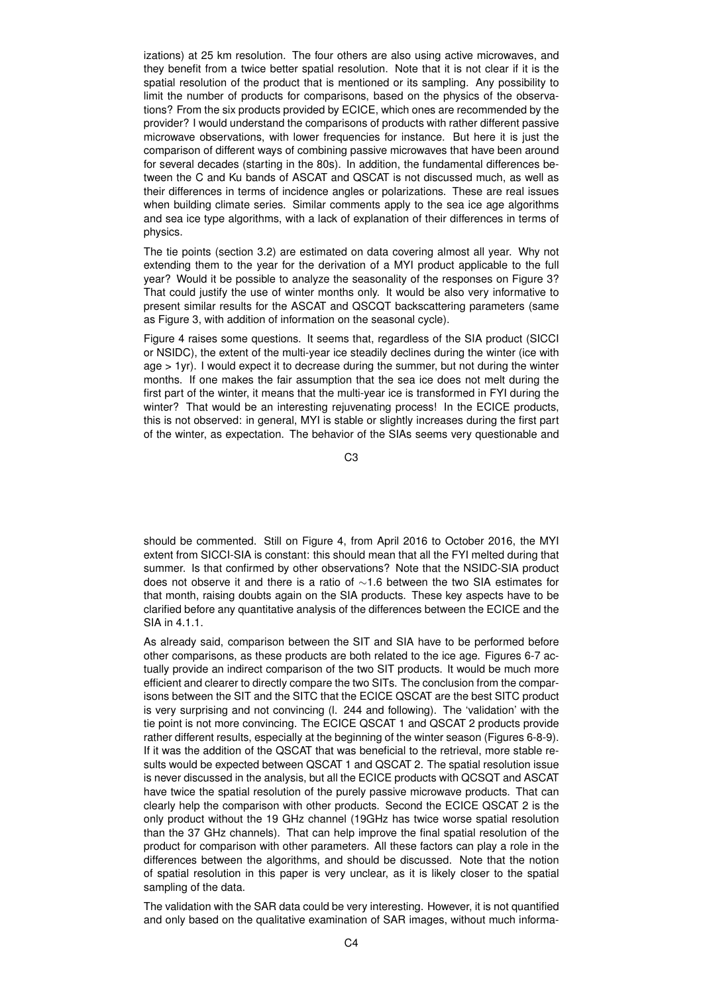izations) at 25 km resolution. The four others are also using active microwaves, and they benefit from a twice better spatial resolution. Note that it is not clear if it is the spatial resolution of the product that is mentioned or its sampling. Any possibility to limit the number of products for comparisons, based on the physics of the observations? From the six products provided by ECICE, which ones are recommended by the provider? I would understand the comparisons of products with rather different passive microwave observations, with lower frequencies for instance. But here it is just the comparison of different ways of combining passive microwaves that have been around for several decades (starting in the 80s). In addition, the fundamental differences between the C and Ku bands of ASCAT and QSCAT is not discussed much, as well as their differences in terms of incidence angles or polarizations. These are real issues when building climate series. Similar comments apply to the sea ice age algorithms and sea ice type algorithms, with a lack of explanation of their differences in terms of physics.

The tie points (section 3.2) are estimated on data covering almost all year. Why not extending them to the year for the derivation of a MYI product applicable to the full year? Would it be possible to analyze the seasonality of the responses on Figure 3? That could justify the use of winter months only. It would be also very informative to present similar results for the ASCAT and QSCQT backscattering parameters (same as Figure 3, with addition of information on the seasonal cycle).

Figure 4 raises some questions. It seems that, regardless of the SIA product (SICCI or NSIDC), the extent of the multi-year ice steadily declines during the winter (ice with age > 1yr). I would expect it to decrease during the summer, but not during the winter months. If one makes the fair assumption that the sea ice does not melt during the first part of the winter, it means that the multi-year ice is transformed in FYI during the winter? That would be an interesting rejuvenating process! In the ECICE products, this is not observed: in general, MYI is stable or slightly increases during the first part of the winter, as expectation. The behavior of the SIAs seems very questionable and

C3

should be commented. Still on Figure 4, from April 2016 to October 2016, the MYI extent from SICCI-SIA is constant: this should mean that all the FYI melted during that summer. Is that confirmed by other observations? Note that the NSIDC-SIA product does not observe it and there is a ratio of ∼1.6 between the two SIA estimates for that month, raising doubts again on the SIA products. These key aspects have to be clarified before any quantitative analysis of the differences between the ECICE and the SIA in 4.1.1.

As already said, comparison between the SIT and SIA have to be performed before other comparisons, as these products are both related to the ice age. Figures 6-7 actually provide an indirect comparison of the two SIT products. It would be much more efficient and clearer to directly compare the two SITs. The conclusion from the comparisons between the SIT and the SITC that the ECICE QSCAT are the best SITC product is very surprising and not convincing (l. 244 and following). The 'validation' with the tie point is not more convincing. The ECICE QSCAT 1 and QSCAT 2 products provide rather different results, especially at the beginning of the winter season (Figures 6-8-9). If it was the addition of the QSCAT that was beneficial to the retrieval, more stable results would be expected between QSCAT 1 and QSCAT 2. The spatial resolution issue is never discussed in the analysis, but all the ECICE products with QCSQT and ASCAT have twice the spatial resolution of the purely passive microwave products. That can clearly help the comparison with other products. Second the ECICE QSCAT 2 is the only product without the 19 GHz channel (19GHz has twice worse spatial resolution than the 37 GHz channels). That can help improve the final spatial resolution of the product for comparison with other parameters. All these factors can play a role in the differences between the algorithms, and should be discussed. Note that the notion of spatial resolution in this paper is very unclear, as it is likely closer to the spatial sampling of the data.

The validation with the SAR data could be very interesting. However, it is not quantified and only based on the qualitative examination of SAR images, without much informa